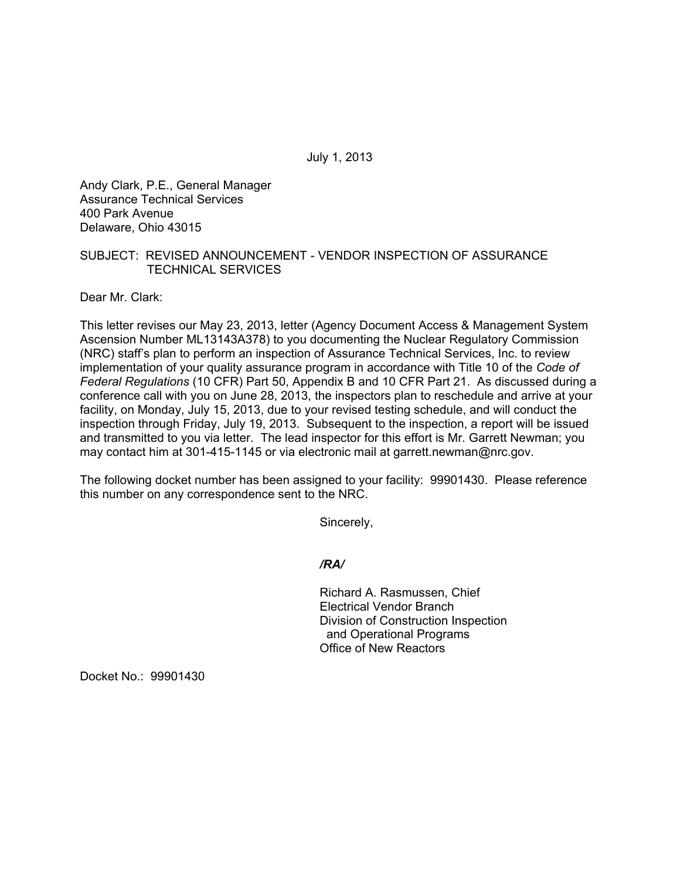July 1, 2013

Andy Clark, P.E., General Manager Assurance Technical Services 400 Park Avenue Delaware, Ohio 43015

## SUBJECT: REVISED ANNOUNCEMENT - VENDOR INSPECTION OF ASSURANCE TECHNICAL SERVICES

Dear Mr. Clark:

This letter revises our May 23, 2013, letter (Agency Document Access & Management System Ascension Number ML13143A378) to you documenting the Nuclear Regulatory Commission (NRC) staff's plan to perform an inspection of Assurance Technical Services, Inc. to review implementation of your quality assurance program in accordance with Title 10 of the *Code of Federal Regulations* (10 CFR) Part 50, Appendix B and 10 CFR Part 21. As discussed during a conference call with you on June 28, 2013, the inspectors plan to reschedule and arrive at your facility, on Monday, July 15, 2013, due to your revised testing schedule, and will conduct the inspection through Friday, July 19, 2013. Subsequent to the inspection, a report will be issued and transmitted to you via letter. The lead inspector for this effort is Mr. Garrett Newman; you may contact him at 301-415-1145 or via electronic mail at garrett.newman@nrc.gov.

The following docket number has been assigned to your facility: 99901430. Please reference this number on any correspondence sent to the NRC.

Sincerely,

*/RA/* 

Richard A. Rasmussen, Chief Electrical Vendor Branch Division of Construction Inspection and Operational Programs Office of New Reactors

Docket No.: 99901430